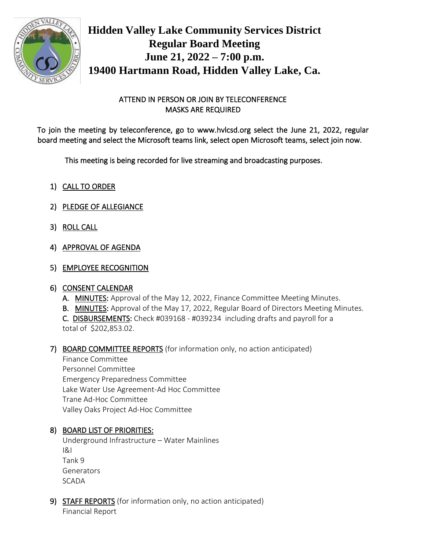

**Hidden Valley Lake Community Services District Regular Board Meeting June 21, 2022 – 7:00 p.m. 19400 Hartmann Road, Hidden Valley Lake, Ca.**

# ATTEND IN PERSON OR JOIN BY TELECONFERENCE MASKS ARE REQUIRED

To join the meeting by teleconference, go to www.hvlcsd.org select the June 21, 2022, regular board meeting and select the Microsoft teams link, select open Microsoft teams, select join now.

This meeting is being recorded for live streaming and broadcasting purposes.

- 1) CALL TO ORDER
- 2) PLEDGE OF ALLEGIANCE
- 3) ROLL CALL
- 4) APPROVAL OF AGENDA
- 5) EMPLOYEE RECOGNITION

# 6) CONSENT CALENDAR

- A. MINUTES: Approval of the May 12, 2022, Finance Committee Meeting Minutes.
- B. MINUTES: Approval of the May 17, 2022, Regular Board of Directors Meeting Minutes.

C. DISBURSEMENTS: Check #039168 - #039234 including drafts and payroll for a total of \$202,853.02.

# 7) BOARD COMMITTEE REPORTS (for information only, no action anticipated)

Finance Committee Personnel Committee Emergency Preparedness Committee Lake Water Use Agreement-Ad Hoc Committee Trane Ad-Hoc Committee Valley Oaks Project Ad-Hoc Committee

# 8) BOARD LIST OF PRIORITIES:

Underground Infrastructure – Water Mainlines I&I Tank 9 **Generators** SCADA

9) STAFF REPORTS (for information only, no action anticipated) Financial Report